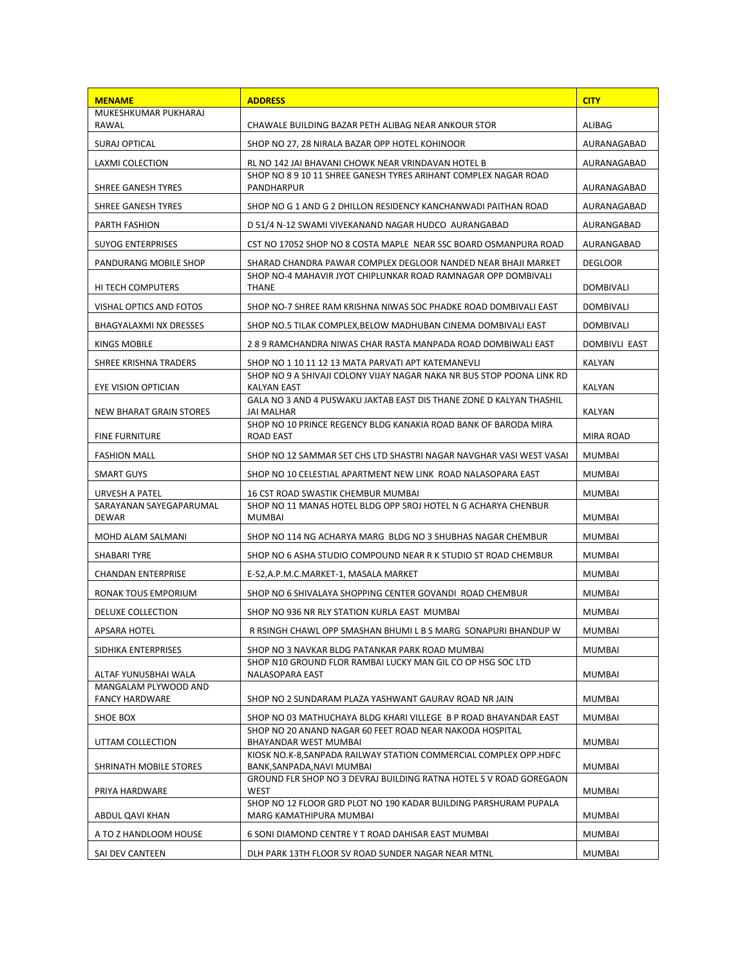| <b>MENAME</b>                                 | <b>ADDRESS</b>                                                                                  | <b>CITY</b>          |
|-----------------------------------------------|-------------------------------------------------------------------------------------------------|----------------------|
| MUKESHKUMAR PUKHARAJ<br>RAWAL                 | CHAWALE BUILDING BAZAR PETH ALIBAG NEAR ANKOUR STOR                                             | <b>ALIBAG</b>        |
| <b>SURAJ OPTICAL</b>                          | SHOP NO 27, 28 NIRALA BAZAR OPP HOTEL KOHINOOR                                                  | AURANAGABAD          |
| LAXMI COLECTION                               | RL NO 142 JAI BHAVANI CHOWK NEAR VRINDAVAN HOTEL B                                              | AURANAGABAD          |
| SHREE GANESH TYRES                            | SHOP NO 8 9 10 11 SHREE GANESH TYRES ARIHANT COMPLEX NAGAR ROAD<br>PANDHARPUR                   | AURANAGABAD          |
| SHREE GANESH TYRES                            | SHOP NO G 1 AND G 2 DHILLON RESIDENCY KANCHANWADI PAITHAN ROAD                                  | AURANAGABAD          |
| <b>PARTH FASHION</b>                          | D 51/4 N-12 SWAMI VIVEKANAND NAGAR HUDCO AURANGABAD                                             | AURANGABAD           |
| SUYOG ENTERPRISES                             | CST NO 17052 SHOP NO 8 COSTA MAPLE NEAR SSC BOARD OSMANPURA ROAD                                | AURANGABAD           |
| PANDURANG MOBILE SHOP                         | SHARAD CHANDRA PAWAR COMPLEX DEGLOOR NANDED NEAR BHAJI MARKET                                   | <b>DEGLOOR</b>       |
| HI TECH COMPUTERS                             | SHOP NO-4 MAHAVIR JYOT CHIPLUNKAR ROAD RAMNAGAR OPP DOMBIVALI<br><b>THANE</b>                   | DOMBIVALI            |
| VISHAL OPTICS AND FOTOS                       | SHOP NO-7 SHREE RAM KRISHNA NIWAS SOC PHADKE ROAD DOMBIVALI EAST                                | DOMBIVALI            |
| BHAGYALAXMI NX DRESSES                        | SHOP NO.5 TILAK COMPLEX, BELOW MADHUBAN CINEMA DOMBIVALI EAST                                   | DOMBIVALI            |
| KINGS MOBILE                                  | 289 RAMCHANDRA NIWAS CHAR RASTA MANPADA ROAD DOMBIWALI EAST                                     | <b>DOMBIVLI EAST</b> |
| SHREE KRISHNA TRADERS                         | SHOP NO 1 10 11 12 13 MATA PARVATI APT KATEMANEVLI                                              | KALYAN               |
| EYE VISION OPTICIAN                           | SHOP NO 9 A SHIVAJI COLONY VIJAY NAGAR NAKA NR BUS STOP POONA LINK RD<br><b>KALYAN EAST</b>     | KALYAN               |
| NEW BHARAT GRAIN STORES                       | GALA NO 3 AND 4 PUSWAKU JAKTAB EAST DIS THANE ZONE D KALYAN THASHIL<br>JAI MALHAR               | KALYAN               |
| <b>FINE FURNITURE</b>                         | SHOP NO 10 PRINCE REGENCY BLDG KANAKIA ROAD BANK OF BARODA MIRA<br>ROAD EAST                    | MIRA ROAD            |
| <b>FASHION MALL</b>                           | SHOP NO 12 SAMMAR SET CHS LTD SHASTRI NAGAR NAVGHAR VASI WEST VASAI                             | <b>MUMBAI</b>        |
| SMART GUYS                                    | SHOP NO 10 CELESTIAL APARTMENT NEW LINK ROAD NALASOPARA EAST                                    | <b>MUMBAI</b>        |
| URVESH A PATEL                                | 16 CST ROAD SWASTIK CHEMBUR MUMBAI                                                              | MUMBAI               |
| SARAYANAN SAYEGAPARUMAL<br>DEWAR              | SHOP NO 11 MANAS HOTEL BLDG OPP SROJ HOTEL N G ACHARYA CHENBUR<br>MUMBAI                        | <b>MUMBAI</b>        |
| MOHD ALAM SALMANI                             | SHOP NO 114 NG ACHARYA MARG BLDG NO 3 SHUBHAS NAGAR CHEMBUR                                     | <b>MUMBAI</b>        |
| SHABARI TYRE                                  | SHOP NO 6 ASHA STUDIO COMPOUND NEAR R K STUDIO ST ROAD CHEMBUR                                  | MUMBAI               |
| <b>CHANDAN ENTERPRISE</b>                     | E-52,A.P.M.C.MARKET-1, MASALA MARKET                                                            | MUMBAI               |
| RONAK TOUS EMPORIUM                           | SHOP NO 6 SHIVALAYA SHOPPING CENTER GOVANDI ROAD CHEMBUR                                        | <b>MUMBAI</b>        |
| DELUXE COLLECTION                             | SHOP NO 936 NR RLY STATION KURLA EAST MUMBAI                                                    | <b>MUMBAI</b>        |
| <b>APSARA HOTEL</b>                           | R RSINGH CHAWL OPP SMASHAN BHUMI L B S MARG SONAPURI BHANDUP W                                  | <b>MUMBAI</b>        |
| SIDHIKA ENTERPRISES                           | SHOP NO 3 NAVKAR BLDG PATANKAR PARK ROAD MUMBAI                                                 | <b>MUMBAI</b>        |
| ALTAF YUNUSBHAI WALA                          | SHOP N10 GROUND FLOR RAMBAI LUCKY MAN GIL CO OP HSG SOC LTD<br>NALASOPARA EAST                  | <b>MUMBAI</b>        |
| MANGALAM PLYWOOD AND<br><b>FANCY HARDWARE</b> | SHOP NO 2 SUNDARAM PLAZA YASHWANT GAURAV ROAD NR JAIN                                           | MUMBAI               |
| SHOE BOX                                      | SHOP NO 03 MATHUCHAYA BLDG KHARI VILLEGE B P ROAD BHAYANDAR EAST                                | MUMBAI               |
| UTTAM COLLECTION                              | SHOP NO 20 ANAND NAGAR 60 FEET ROAD NEAR NAKODA HOSPITAL<br>BHAYANDAR WEST MUMBAI               | MUMBAI               |
| SHRINATH MOBILE STORES                        | KIOSK NO.K-8, SANPADA RAILWAY STATION COMMERCIAL COMPLEX OPP.HDFC<br>BANK, SANPADA, NAVI MUMBAI | MUMBAI               |
| PRIYA HARDWARE                                | GROUND FLR SHOP NO 3 DEVRAJ BUILDING RATNA HOTEL S V ROAD GOREGAON<br>WEST                      | <b>MUMBAI</b>        |
| ABDUL QAVI KHAN                               | SHOP NO 12 FLOOR GRD PLOT NO 190 KADAR BUILDING PARSHURAM PUPALA<br>MARG KAMATHIPURA MUMBAI     | MUMBAI               |
| A TO Z HANDLOOM HOUSE                         | 6 SONI DIAMOND CENTRE Y T ROAD DAHISAR EAST MUMBAI                                              | MUMBAI               |
| SAI DEV CANTEEN                               | DLH PARK 13TH FLOOR SV ROAD SUNDER NAGAR NEAR MTNL                                              | MUMBAI               |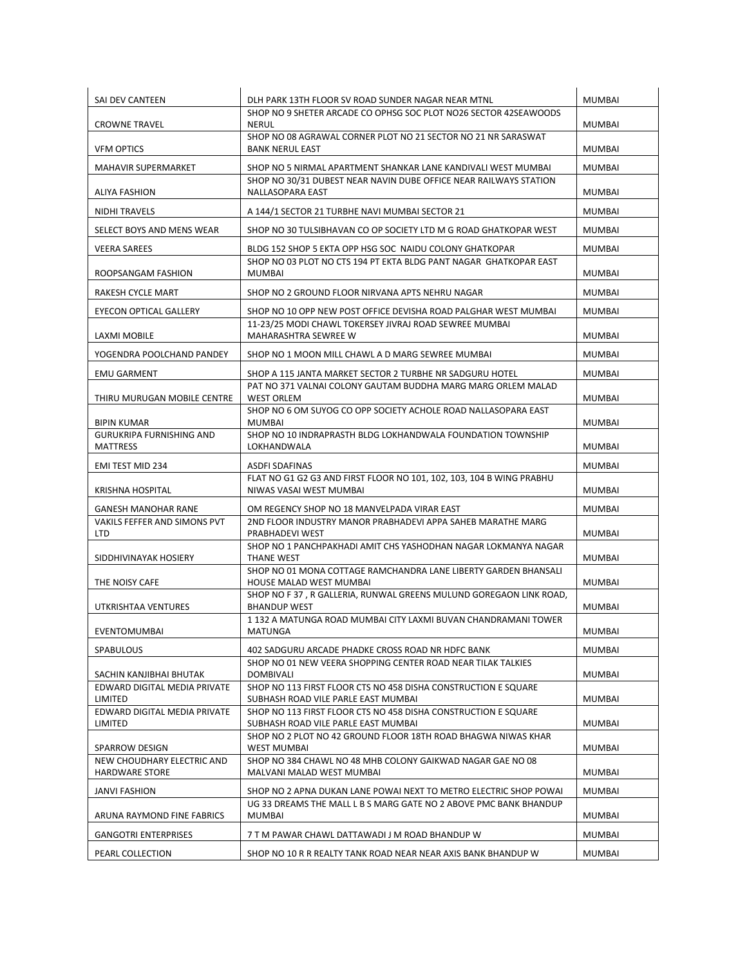| SAI DEV CANTEEN                                     | DLH PARK 13TH FLOOR SV ROAD SUNDER NAGAR NEAR MTNL                                                                           | <b>MUMBAI</b> |
|-----------------------------------------------------|------------------------------------------------------------------------------------------------------------------------------|---------------|
| <b>CROWNE TRAVEL</b>                                | SHOP NO 9 SHETER ARCADE CO OPHSG SOC PLOT NO26 SECTOR 42SEAWOODS<br><b>NERUL</b>                                             | <b>MUMBAI</b> |
| <b>VFM OPTICS</b>                                   | SHOP NO 08 AGRAWAL CORNER PLOT NO 21 SECTOR NO 21 NR SARASWAT<br><b>BANK NERUL EAST</b>                                      | <b>MUMBAI</b> |
| <b>MAHAVIR SUPERMARKET</b>                          | SHOP NO 5 NIRMAL APARTMENT SHANKAR LANE KANDIVALI WEST MUMBAI                                                                | <b>MUMBAI</b> |
| ALIYA FASHION                                       | SHOP NO 30/31 DUBEST NEAR NAVIN DUBE OFFICE NEAR RAILWAYS STATION<br>NALLASOPARA EAST                                        | <b>MUMBAI</b> |
| <b>NIDHI TRAVELS</b>                                | A 144/1 SECTOR 21 TURBHE NAVI MUMBAI SECTOR 21                                                                               | <b>MUMBAI</b> |
| SELECT BOYS AND MENS WEAR                           | SHOP NO 30 TULSIBHAVAN CO OP SOCIETY LTD M G ROAD GHATKOPAR WEST                                                             | <b>MUMBAI</b> |
| <b>VEERA SAREES</b>                                 | BLDG 152 SHOP 5 EKTA OPP HSG SOC NAIDU COLONY GHATKOPAR<br>SHOP NO 03 PLOT NO CTS 194 PT EKTA BLDG PANT NAGAR GHATKOPAR EAST | <b>MUMBAI</b> |
| ROOPSANGAM FASHION                                  | <b>MUMBAI</b>                                                                                                                | <b>MUMBAI</b> |
| RAKESH CYCLE MART                                   | SHOP NO 2 GROUND FLOOR NIRVANA APTS NEHRU NAGAR                                                                              | <b>MUMBAI</b> |
| EYECON OPTICAL GALLERY                              | SHOP NO 10 OPP NEW POST OFFICE DEVISHA ROAD PALGHAR WEST MUMBAI                                                              | <b>MUMBAI</b> |
| LAXMI MOBILE                                        | 11-23/25 MODI CHAWL TOKERSEY JIVRAJ ROAD SEWREE MUMBAI<br>MAHARASHTRA SEWREE W                                               | <b>MUMBAI</b> |
| YOGENDRA POOLCHAND PANDEY                           | SHOP NO 1 MOON MILL CHAWL A D MARG SEWREE MUMBAI                                                                             | <b>MUMBAI</b> |
| <b>EMU GARMENT</b>                                  | SHOP A 115 JANTA MARKET SECTOR 2 TURBHE NR SADGURU HOTEL                                                                     | <b>MUMBAI</b> |
| THIRU MURUGAN MOBILE CENTRE                         | PAT NO 371 VALNAI COLONY GAUTAM BUDDHA MARG MARG ORLEM MALAD<br><b>WEST ORLEM</b>                                            | <b>MUMBAI</b> |
| <b>BIPIN KUMAR</b>                                  | SHOP NO 6 OM SUYOG CO OPP SOCIETY ACHOLE ROAD NALLASOPARA EAST<br><b>MUMBAI</b>                                              | MUMBAI        |
| <b>GURUKRIPA FURNISHING AND</b><br><b>MATTRESS</b>  | SHOP NO 10 INDRAPRASTH BLDG LOKHANDWALA FOUNDATION TOWNSHIP<br>LOKHANDWALA                                                   | <b>MUMBAI</b> |
| EMI TEST MID 234                                    | <b>ASDFI SDAFINAS</b>                                                                                                        | MUMBAI        |
| <b>KRISHNA HOSPITAL</b>                             | FLAT NO G1 G2 G3 AND FIRST FLOOR NO 101, 102, 103, 104 B WING PRABHU<br>NIWAS VASAI WEST MUMBAI                              | <b>MUMBAI</b> |
| <b>GANESH MANOHAR RANE</b>                          | OM REGENCY SHOP NO 18 MANVELPADA VIRAR EAST                                                                                  | MUMBAI        |
| <b>VAKILS FEFFER AND SIMONS PVT</b><br><b>LTD</b>   | 2ND FLOOR INDUSTRY MANOR PRABHADEVI APPA SAHEB MARATHE MARG<br>PRABHADEVI WEST                                               | <b>MUMBAI</b> |
| SIDDHIVINAYAK HOSIERY                               | SHOP NO 1 PANCHPAKHADI AMIT CHS YASHODHAN NAGAR LOKMANYA NAGAR<br>THANE WEST                                                 | <b>MUMBAI</b> |
| THE NOISY CAFE                                      | SHOP NO 01 MONA COTTAGE RAMCHANDRA LANE LIBERTY GARDEN BHANSALI<br>HOUSE MALAD WEST MUMBAI                                   | MUMBAI        |
| UTKRISHTAA VENTURES                                 | SHOP NO F 37, R GALLERIA, RUNWAL GREENS MULUND GOREGAON LINK ROAD,<br><b>BHANDUP WEST</b>                                    | <b>MUMBAI</b> |
| EVENTOMUMBAI                                        | 1 132 A MATUNGA ROAD MUMBAI CITY LAXMI BUVAN CHANDRAMANI TOWER<br><b>MATUNGA</b>                                             | <b>MUMBAI</b> |
| <b>SPABULOUS</b>                                    | 402 SADGURU ARCADE PHADKE CROSS ROAD NR HDFC BANK                                                                            | <b>MUMBAI</b> |
| SACHIN KANJIBHAI BHUTAK                             | SHOP NO 01 NEW VEERA SHOPPING CENTER ROAD NEAR TILAK TALKIES<br><b>DOMBIVALI</b>                                             | <b>MUMBAI</b> |
| EDWARD DIGITAL MEDIA PRIVATE<br>LIMITED             | SHOP NO 113 FIRST FLOOR CTS NO 458 DISHA CONSTRUCTION E SQUARE<br>SUBHASH ROAD VILE PARLE EAST MUMBAI                        | MUMBAI        |
| EDWARD DIGITAL MEDIA PRIVATE<br>LIMITED             | SHOP NO 113 FIRST FLOOR CTS NO 458 DISHA CONSTRUCTION E SQUARE<br>SUBHASH ROAD VILE PARLE EAST MUMBAI                        | <b>MUMBAI</b> |
| <b>SPARROW DESIGN</b>                               | SHOP NO 2 PLOT NO 42 GROUND FLOOR 18TH ROAD BHAGWA NIWAS KHAR<br><b>WEST MUMBAI</b>                                          | <b>MUMBAI</b> |
| NEW CHOUDHARY ELECTRIC AND<br><b>HARDWARE STORE</b> | SHOP NO 384 CHAWL NO 48 MHB COLONY GAIKWAD NAGAR GAE NO 08<br>MALVANI MALAD WEST MUMBAI                                      | <b>MUMBAI</b> |
| <b>JANVI FASHION</b>                                | SHOP NO 2 APNA DUKAN LANE POWAI NEXT TO METRO ELECTRIC SHOP POWAI                                                            | MUMBAI        |
| ARUNA RAYMOND FINE FABRICS                          | UG 33 DREAMS THE MALL L B S MARG GATE NO 2 ABOVE PMC BANK BHANDUP<br><b>MUMBAI</b>                                           | MUMBAI        |
| <b>GANGOTRI ENTERPRISES</b>                         | 7 T M PAWAR CHAWL DATTAWADI J M ROAD BHANDUP W                                                                               | <b>MUMBAI</b> |
|                                                     |                                                                                                                              |               |
| PEARL COLLECTION                                    | SHOP NO 10 R R REALTY TANK ROAD NEAR NEAR AXIS BANK BHANDUP W                                                                | MUMBAI        |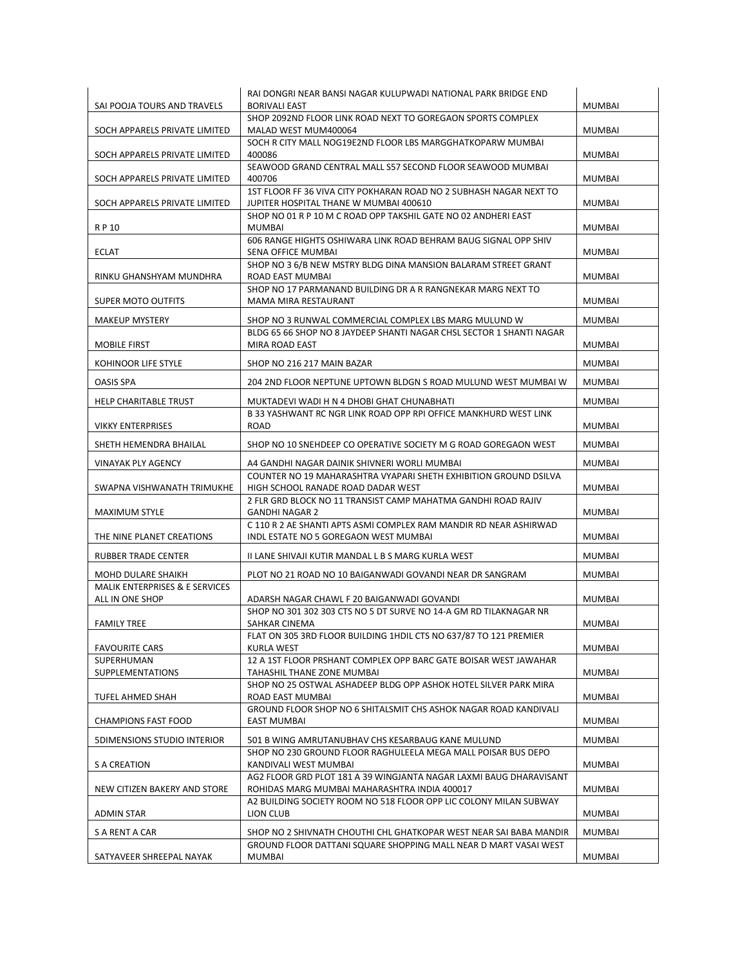|                                     | RAI DONGRI NEAR BANSI NAGAR KULUPWADI NATIONAL PARK BRIDGE END                                         |               |
|-------------------------------------|--------------------------------------------------------------------------------------------------------|---------------|
| SAI POOJA TOURS AND TRAVELS         | <b>BORIVALI EAST</b>                                                                                   | <b>MUMBAI</b> |
|                                     | SHOP 2092ND FLOOR LINK ROAD NEXT TO GOREGAON SPORTS COMPLEX                                            |               |
| SOCH APPARELS PRIVATE LIMITED       | MALAD WEST MUM400064                                                                                   | <b>MUMBAI</b> |
| SOCH APPARELS PRIVATE LIMITED       | SOCH R CITY MALL NOG19E2ND FLOOR LBS MARGGHATKOPARW MUMBAI<br>400086                                   | <b>MUMBAI</b> |
|                                     | SEAWOOD GRAND CENTRAL MALL S57 SECOND FLOOR SEAWOOD MUMBAI                                             |               |
| SOCH APPARELS PRIVATE LIMITED       | 400706                                                                                                 | <b>MUMBAI</b> |
|                                     | 1ST FLOOR FF 36 VIVA CITY POKHARAN ROAD NO 2 SUBHASH NAGAR NEXT TO                                     |               |
| SOCH APPARELS PRIVATE LIMITED       | JUPITER HOSPITAL THANE W MUMBAI 400610                                                                 | <b>MUMBAI</b> |
|                                     | SHOP NO 01 R P 10 M C ROAD OPP TAKSHIL GATE NO 02 ANDHERI EAST                                         |               |
| R P 10                              | MUMBAI                                                                                                 | <b>MUMBAI</b> |
| <b>ECLAT</b>                        | 606 RANGE HIGHTS OSHIWARA LINK ROAD BEHRAM BAUG SIGNAL OPP SHIV<br>SENA OFFICE MUMBAI                  | <b>MUMBAI</b> |
|                                     | SHOP NO 3 6/B NEW MSTRY BLDG DINA MANSION BALARAM STREET GRANT                                         |               |
| RINKU GHANSHYAM MUNDHRA             | ROAD EAST MUMBAI                                                                                       | <b>MUMBAI</b> |
|                                     | SHOP NO 17 PARMANAND BUILDING DR A R RANGNEKAR MARG NEXT TO                                            |               |
| <b>SUPER MOTO OUTFITS</b>           | MAMA MIRA RESTAURANT                                                                                   | <b>MUMBAI</b> |
| <b>MAKEUP MYSTERY</b>               | SHOP NO 3 RUNWAL COMMERCIAL COMPLEX LBS MARG MULUND W                                                  | <b>MUMBAI</b> |
|                                     | BLDG 65 66 SHOP NO 8 JAYDEEP SHANTI NAGAR CHSL SECTOR 1 SHANTI NAGAR                                   |               |
| <b>MOBILE FIRST</b>                 | MIRA ROAD EAST                                                                                         | <b>MUMBAI</b> |
| KOHINOOR LIFE STYLE                 | SHOP NO 216 217 MAIN BAZAR                                                                             | <b>MUMBAI</b> |
|                                     |                                                                                                        |               |
| <b>OASIS SPA</b>                    | 204 2ND FLOOR NEPTUNE UPTOWN BLDGN S ROAD MULUND WEST MUMBAI W                                         | <b>MUMBAI</b> |
| HELP CHARITABLE TRUST               | MUKTADEVI WADI H N 4 DHOBI GHAT CHUNABHATI                                                             | <b>MUMBAI</b> |
|                                     | B 33 YASHWANT RC NGR LINK ROAD OPP RPI OFFICE MANKHURD WEST LINK                                       |               |
| <b>VIKKY ENTERPRISES</b>            | ROAD                                                                                                   | <b>MUMBAI</b> |
| SHETH HEMENDRA BHAILAL              | SHOP NO 10 SNEHDEEP CO OPERATIVE SOCIETY M G ROAD GOREGAON WEST                                        | <b>MUMBAI</b> |
|                                     |                                                                                                        |               |
| VINAYAK PLY AGENCY                  | A4 GANDHI NAGAR DAINIK SHIVNERI WORLI MUMBAI                                                           | MUMBAI        |
| SWAPNA VISHWANATH TRIMUKHE          | COUNTER NO 19 MAHARASHTRA VYAPARI SHETH EXHIBITION GROUND DSILVA<br>HIGH SCHOOL RANADE ROAD DADAR WEST | <b>MUMBAI</b> |
|                                     | 2 FLR GRD BLOCK NO 11 TRANSIST CAMP MAHATMA GANDHI ROAD RAJIV                                          |               |
| <b>MAXIMUM STYLE</b>                | <b>GANDHI NAGAR 2</b>                                                                                  | <b>MUMBAI</b> |
|                                     | C 110 R 2 AE SHANTI APTS ASMI COMPLEX RAM MANDIR RD NEAR ASHIRWAD                                      |               |
| THE NINE PLANET CREATIONS           | INDL ESTATE NO 5 GOREGAON WEST MUMBAI                                                                  | <b>MUMBAI</b> |
| RUBBER TRADE CENTER                 | II LANE SHIVAJI KUTIR MANDAL L B S MARG KURLA WEST                                                     | <b>MUMBAI</b> |
| MOHD DULARE SHAIKH                  | PLOT NO 21 ROAD NO 10 BAIGANWADI GOVANDI NEAR DR SANGRAM                                               | <b>MUMBAI</b> |
| MALIK ENTERPRISES & E SERVICES      |                                                                                                        |               |
| ALL IN ONE SHOP                     | ADARSH NAGAR CHAWL F 20 BAIGANWADI GOVANDI                                                             | <b>MUMBAI</b> |
|                                     | SHOP NO 301 302 303 CTS NO 5 DT SURVE NO 14-A GM RD TILAKNAGAR NR                                      |               |
| <b>FAMILY TREE</b>                  | SAHKAR CINEMA                                                                                          | <b>MUMBAI</b> |
|                                     | FLAT ON 305 3RD FLOOR BUILDING 1HDIL CTS NO 637/87 TO 121 PREMIER                                      |               |
| <b>FAVOURITE CARS</b><br>SUPERHUMAN | <b>KURLA WEST</b><br>12 A 1ST FLOOR PRSHANT COMPLEX OPP BARC GATE BOISAR WEST JAWAHAR                  | <b>MUMBAI</b> |
| <b>SUPPLEMENTATIONS</b>             | TAHASHIL THANE ZONE MUMBAI                                                                             | MUMBAI        |
|                                     | SHOP NO 25 OSTWAL ASHADEEP BLDG OPP ASHOK HOTEL SILVER PARK MIRA                                       |               |
| TUFEL AHMED SHAH                    | ROAD EAST MUMBAI                                                                                       | <b>MUMBAI</b> |
|                                     | GROUND FLOOR SHOP NO 6 SHITALSMIT CHS ASHOK NAGAR ROAD KANDIVALI                                       |               |
| <b>CHAMPIONS FAST FOOD</b>          | <b>EAST MUMBAI</b>                                                                                     | <b>MUMBAI</b> |
| <b>5DIMENSIONS STUDIO INTERIOR</b>  | 501 B WING AMRUTANUBHAV CHS KESARBAUG KANE MULUND                                                      | <b>MUMBAI</b> |
|                                     | SHOP NO 230 GROUND FLOOR RAGHULEELA MEGA MALL POISAR BUS DEPO                                          |               |
| <b>S A CREATION</b>                 | KANDIVALI WEST MUMBAI                                                                                  | <b>MUMBAI</b> |
|                                     | AG2 FLOOR GRD PLOT 181 A 39 WINGJANTA NAGAR LAXMI BAUG DHARAVISANT                                     |               |
| NEW CITIZEN BAKERY AND STORE        | ROHIDAS MARG MUMBAI MAHARASHTRA INDIA 400017                                                           | <b>MUMBAI</b> |
| <b>ADMIN STAR</b>                   | A2 BUILDING SOCIETY ROOM NO 518 FLOOR OPP LIC COLONY MILAN SUBWAY<br>LION CLUB                         | <b>MUMBAI</b> |
|                                     |                                                                                                        |               |
| S A RENT A CAR                      | SHOP NO 2 SHIVNATH CHOUTHI CHL GHATKOPAR WEST NEAR SAI BABA MANDIR                                     | MUMBAI        |
| SATYAVEER SHREEPAL NAYAK            | GROUND FLOOR DATTANI SQUARE SHOPPING MALL NEAR D MART VASAI WEST<br>MUMBAI                             | <b>MUMBAI</b> |
|                                     |                                                                                                        |               |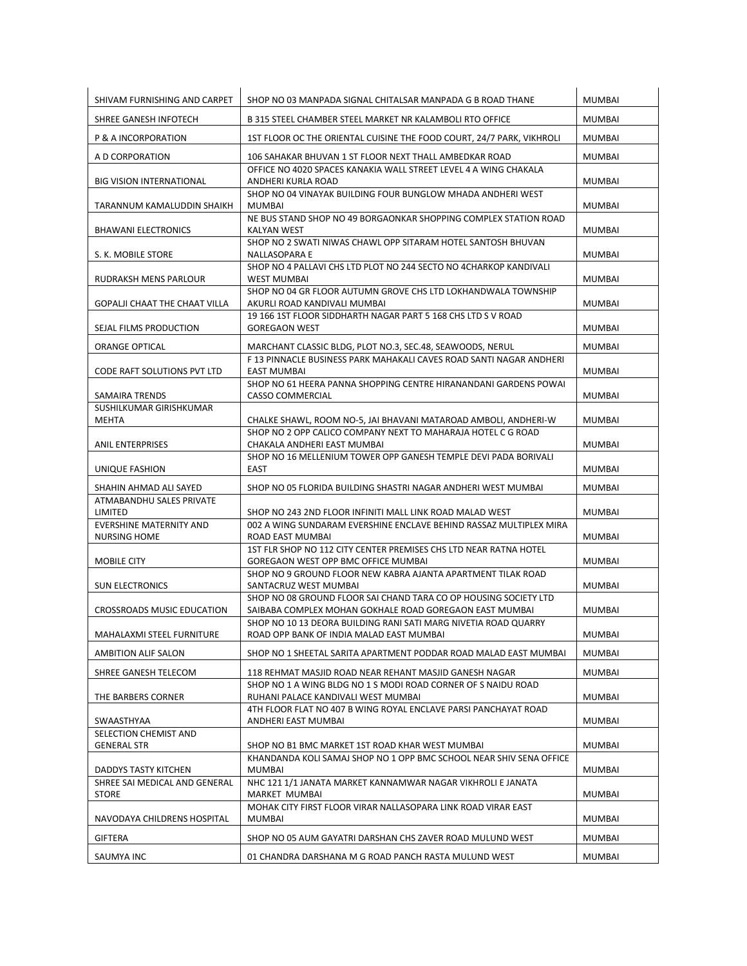| SHIVAM FURNISHING AND CARPET                          | SHOP NO 03 MANPADA SIGNAL CHITALSAR MANPADA G B ROAD THANE                                                                                                     | <b>MUMBAI</b>                  |
|-------------------------------------------------------|----------------------------------------------------------------------------------------------------------------------------------------------------------------|--------------------------------|
| SHREE GANESH INFOTECH                                 | B 315 STEEL CHAMBER STEEL MARKET NR KALAMBOLI RTO OFFICE                                                                                                       | <b>MUMBAI</b>                  |
| P & A INCORPORATION                                   | 1ST FLOOR OC THE ORIENTAL CUISINE THE FOOD COURT, 24/7 PARK, VIKHROLI                                                                                          | <b>MUMBAI</b>                  |
| A D CORPORATION                                       | 106 SAHAKAR BHUVAN 1 ST FLOOR NEXT THALL AMBEDKAR ROAD                                                                                                         | MUMBAI                         |
| <b>BIG VISION INTERNATIONAL</b>                       | OFFICE NO 4020 SPACES KANAKIA WALL STREET LEVEL 4 A WING CHAKALA<br>ANDHERI KURLA ROAD                                                                         | <b>MUMBAI</b>                  |
| TARANNUM KAMALUDDIN SHAIKH                            | SHOP NO 04 VINAYAK BUILDING FOUR BUNGLOW MHADA ANDHERI WEST<br>MUMBAI                                                                                          | <b>MUMBAI</b>                  |
| <b>BHAWANI ELECTRONICS</b>                            | NE BUS STAND SHOP NO 49 BORGAONKAR SHOPPING COMPLEX STATION ROAD<br>KALYAN WEST                                                                                | <b>MUMBAI</b>                  |
| S. K. MOBILE STORE                                    | SHOP NO 2 SWATI NIWAS CHAWL OPP SITARAM HOTEL SANTOSH BHUVAN<br>NALLASOPARA E                                                                                  | <b>MUMBAI</b>                  |
| RUDRAKSH MENS PARLOUR                                 | SHOP NO 4 PALLAVI CHS LTD PLOT NO 244 SECTO NO 4CHARKOP KANDIVALI<br><b>WEST MUMBAI</b>                                                                        | <b>MUMBAI</b>                  |
| <b>GOPALJI CHAAT THE CHAAT VILLA</b>                  | SHOP NO 04 GR FLOOR AUTUMN GROVE CHS LTD LOKHANDWALA TOWNSHIP<br>AKURLI ROAD KANDIVALI MUMBAI                                                                  | <b>MUMBAI</b>                  |
| SEJAL FILMS PRODUCTION                                | 19 166 1ST FLOOR SIDDHARTH NAGAR PART 5 168 CHS LTD S V ROAD<br><b>GOREGAON WEST</b>                                                                           | <b>MUMBAI</b>                  |
| ORANGE OPTICAL                                        | MARCHANT CLASSIC BLDG, PLOT NO.3, SEC.48, SEAWOODS, NERUL                                                                                                      | <b>MUMBAI</b>                  |
| CODE RAFT SOLUTIONS PVT LTD                           | F 13 PINNACLE BUSINESS PARK MAHAKALI CAVES ROAD SANTI NAGAR ANDHERI<br><b>EAST MUMBAI</b>                                                                      | <b>MUMBAI</b>                  |
| <b>SAMAIRA TRENDS</b>                                 | SHOP NO 61 HEERA PANNA SHOPPING CENTRE HIRANANDANI GARDENS POWAI<br>CASSO COMMERCIAL                                                                           | <b>MUMBAI</b>                  |
| SUSHILKUMAR GIRISHKUMAR                               |                                                                                                                                                                |                                |
| MEHTA<br><b>ANIL ENTERPRISES</b>                      | CHALKE SHAWL, ROOM NO-5, JAI BHAVANI MATAROAD AMBOLI, ANDHERI-W<br>SHOP NO 2 OPP CALICO COMPANY NEXT TO MAHARAJA HOTEL C G ROAD<br>CHAKALA ANDHERI EAST MUMBAI | <b>MUMBAI</b><br><b>MUMBAI</b> |
|                                                       | SHOP NO 16 MELLENIUM TOWER OPP GANESH TEMPLE DEVI PADA BORIVALI                                                                                                |                                |
| UNIQUE FASHION                                        | EAST                                                                                                                                                           | <b>MUMBAI</b>                  |
| SHAHIN AHMAD ALI SAYED<br>ATMABANDHU SALES PRIVATE    | SHOP NO 05 FLORIDA BUILDING SHASTRI NAGAR ANDHERI WEST MUMBAI                                                                                                  | <b>MUMBAI</b>                  |
| LIMITED                                               | SHOP NO 243 2ND FLOOR INFINITI MALL LINK ROAD MALAD WEST                                                                                                       | <b>MUMBAI</b>                  |
| <b>EVERSHINE MATERNITY AND</b><br><b>NURSING HOME</b> | 002 A WING SUNDARAM EVERSHINE ENCLAVE BEHIND RASSAZ MULTIPLEX MIRA<br>ROAD EAST MUMBAI                                                                         | <b>MUMBAI</b>                  |
| MOBILE CITY                                           | 1ST FLR SHOP NO 112 CITY CENTER PREMISES CHS LTD NEAR RATNA HOTEL<br>GOREGAON WEST OPP BMC OFFICE MUMBAI                                                       | <b>MUMBAI</b>                  |
| <b>SUN ELECTRONICS</b>                                | SHOP NO 9 GROUND FLOOR NEW KABRA AJANTA APARTMENT TILAK ROAD<br>SANTACRUZ WEST MUMBAI                                                                          | <b>MUMBAI</b>                  |
| CROSSROADS MUSIC EDUCATION                            | SHOP NO 08 GROUND FLOOR SAI CHAND TARA CO OP HOUSING SOCIETY LTD<br>SAIBABA COMPLEX MOHAN GOKHALE ROAD GOREGAON EAST MUMBAI                                    | <b>MUMBAI</b>                  |
| MAHALAXMI STEEL FURNITURE                             | SHOP NO 10 13 DEORA BUILDING RANI SATI MARG NIVETIA ROAD QUARRY<br>ROAD OPP BANK OF INDIA MALAD EAST MUMBAI                                                    | MUMBAI                         |
| AMBITION ALIF SALON                                   | SHOP NO 1 SHEETAL SARITA APARTMENT PODDAR ROAD MALAD EAST MUMBAI                                                                                               | <b>MUMBAI</b>                  |
| SHREE GANESH TELECOM                                  | 118 REHMAT MASJID ROAD NEAR REHANT MASJID GANESH NAGAR                                                                                                         | MUMBAI                         |
| THE BARBERS CORNER                                    | SHOP NO 1 A WING BLDG NO 1 S MODI ROAD CORNER OF S NAIDU ROAD<br>RUHANI PALACE KANDIVALI WEST MUMBAI                                                           | <b>MUMBAI</b>                  |
| SWAASTHYAA                                            | 4TH FLOOR FLAT NO 407 B WING ROYAL ENCLAVE PARSI PANCHAYAT ROAD<br>ANDHERI EAST MUMBAI                                                                         | <b>MUMBAI</b>                  |
| SELECTION CHEMIST AND                                 |                                                                                                                                                                |                                |
| <b>GENERAL STR</b>                                    | SHOP NO B1 BMC MARKET 1ST ROAD KHAR WEST MUMBAI<br>KHANDANDA KOLI SAMAJ SHOP NO 1 OPP BMC SCHOOL NEAR SHIV SENA OFFICE                                         | MUMBAI                         |
| DADDYS TASTY KITCHEN                                  | MUMBAI<br>NHC 121 1/1 JANATA MARKET KANNAMWAR NAGAR VIKHROLI E JANATA                                                                                          | <b>MUMBAI</b>                  |
| SHREE SAI MEDICAL AND GENERAL<br><b>STORE</b>         | MARKET MUMBAI                                                                                                                                                  | MUMBAI                         |
| NAVODAYA CHILDRENS HOSPITAL                           | MOHAK CITY FIRST FLOOR VIRAR NALLASOPARA LINK ROAD VIRAR EAST<br>MUMBAI                                                                                        | MUMBAI                         |
| <b>GIFTERA</b>                                        | SHOP NO 05 AUM GAYATRI DARSHAN CHS ZAVER ROAD MULUND WEST                                                                                                      | MUMBAI                         |
| SAUMYA INC                                            | 01 CHANDRA DARSHANA M G ROAD PANCH RASTA MULUND WEST                                                                                                           | MUMBAI                         |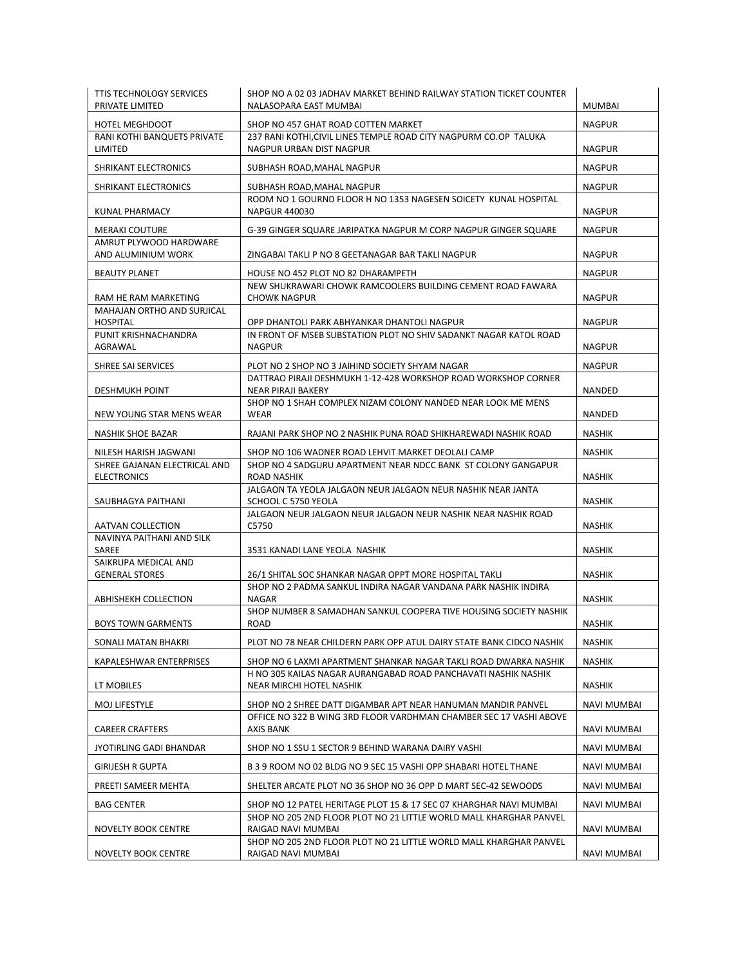| <b>TTIS TECHNOLOGY SERVICES</b><br>PRIVATE LIMITED    | SHOP NO A 02 03 JADHAV MARKET BEHIND RAILWAY STATION TICKET COUNTER<br>NALASOPARA EAST MUMBAI                       | <b>MUMBAI</b>      |
|-------------------------------------------------------|---------------------------------------------------------------------------------------------------------------------|--------------------|
| <b>HOTEL MEGHDOOT</b>                                 | SHOP NO 457 GHAT ROAD COTTEN MARKET                                                                                 | <b>NAGPUR</b>      |
| RANI KOTHI BANQUETS PRIVATE<br>LIMITED                | 237 RANI KOTHI, CIVIL LINES TEMPLE ROAD CITY NAGPURM CO.OP TALUKA<br>NAGPUR URBAN DIST NAGPUR                       | <b>NAGPUR</b>      |
| SHRIKANT ELECTRONICS                                  | SUBHASH ROAD, MAHAL NAGPUR                                                                                          | <b>NAGPUR</b>      |
| SHRIKANT ELECTRONICS                                  | SUBHASH ROAD, MAHAL NAGPUR                                                                                          | <b>NAGPUR</b>      |
| KUNAL PHARMACY                                        | ROOM NO 1 GOURND FLOOR H NO 1353 NAGESEN SOICETY KUNAL HOSPITAL<br><b>NAPGUR 440030</b>                             | <b>NAGPUR</b>      |
| <b>MERAKI COUTURE</b>                                 | G-39 GINGER SQUARE JARIPATKA NAGPUR M CORP NAGPUR GINGER SQUARE                                                     | <b>NAGPUR</b>      |
| AMRUT PLYWOOD HARDWARE                                | ZINGABAI TAKLI P NO 8 GEETANAGAR BAR TAKLI NAGPUR                                                                   |                    |
| AND ALUMINIUM WORK                                    |                                                                                                                     | <b>NAGPUR</b>      |
| <b>BEAUTY PLANET</b>                                  | HOUSE NO 452 PLOT NO 82 DHARAMPETH<br>NEW SHUKRAWARI CHOWK RAMCOOLERS BUILDING CEMENT ROAD FAWARA                   | <b>NAGPUR</b>      |
| RAM HE RAM MARKETING                                  | <b>CHOWK NAGPUR</b>                                                                                                 | NAGPUR             |
| MAHAJAN ORTHO AND SURJICAL<br><b>HOSPITAL</b>         | OPP DHANTOLI PARK ABHYANKAR DHANTOLI NAGPUR                                                                         | <b>NAGPUR</b>      |
| PUNIT KRISHNACHANDRA                                  | IN FRONT OF MSEB SUBSTATION PLOT NO SHIV SADANKT NAGAR KATOL ROAD                                                   |                    |
| AGRAWAL                                               | <b>NAGPUR</b>                                                                                                       | <b>NAGPUR</b>      |
| SHREE SAI SERVICES                                    | PLOT NO 2 SHOP NO 3 JAIHIND SOCIETY SHYAM NAGAR                                                                     | <b>NAGPUR</b>      |
| <b>DESHMUKH POINT</b>                                 | DATTRAO PIRAJI DESHMUKH 1-12-428 WORKSHOP ROAD WORKSHOP CORNER<br>NEAR PIRAJI BAKERY                                | NANDED             |
| NEW YOUNG STAR MENS WEAR                              | SHOP NO 1 SHAH COMPLEX NIZAM COLONY NANDED NEAR LOOK ME MENS<br>WEAR                                                | NANDED             |
| NASHIK SHOE BAZAR                                     | RAJANI PARK SHOP NO 2 NASHIK PUNA ROAD SHIKHAREWADI NASHIK ROAD                                                     | <b>NASHIK</b>      |
|                                                       |                                                                                                                     |                    |
| NILESH HARISH JAGWANI<br>SHREE GAJANAN ELECTRICAL AND | SHOP NO 106 WADNER ROAD LEHVIT MARKET DEOLALI CAMP<br>SHOP NO 4 SADGURU APARTMENT NEAR NDCC BANK ST COLONY GANGAPUR | <b>NASHIK</b>      |
| <b>ELECTRONICS</b>                                    | ROAD NASHIK                                                                                                         | <b>NASHIK</b>      |
| SAUBHAGYA PAITHANI                                    | JALGAON TA YEOLA JALGAON NEUR JALGAON NEUR NASHIK NEAR JANTA<br>SCHOOL C 5750 YEOLA                                 | <b>NASHIK</b>      |
| AATVAN COLLECTION                                     | JALGAON NEUR JALGAON NEUR JALGAON NEUR NASHIK NEAR NASHIK ROAD<br>C5750                                             | <b>NASHIK</b>      |
| NAVINYA PAITHANI AND SILK                             |                                                                                                                     |                    |
| SAREE                                                 | 3531 KANADI LANE YEOLA NASHIK                                                                                       | <b>NASHIK</b>      |
| SAIKRUPA MEDICAL AND<br><b>GENERAL STORES</b>         | 26/1 SHITAL SOC SHANKAR NAGAR OPPT MORE HOSPITAL TAKLI                                                              | <b>NASHIK</b>      |
| ABHISHEKH COLLECTION                                  | SHOP NO 2 PADMA SANKUL INDIRA NAGAR VANDANA PARK NASHIK INDIRA<br>NAGAR                                             | <b>NASHIK</b>      |
|                                                       | SHOP NUMBER 8 SAMADHAN SANKUL COOPERA TIVE HOUSING SOCIETY NASHIK                                                   |                    |
| <b>BOYS TOWN GARMENTS</b>                             | ROAD                                                                                                                | <b>NASHIK</b>      |
| SONALI MATAN BHAKRI                                   | PLOT NO 78 NEAR CHILDERN PARK OPP ATUL DAIRY STATE BANK CIDCO NASHIK                                                | <b>NASHIK</b>      |
| KAPALESHWAR ENTERPRISES                               | SHOP NO 6 LAXMI APARTMENT SHANKAR NAGAR TAKLI ROAD DWARKA NASHIK                                                    | <b>NASHIK</b>      |
| LT MOBILES                                            | H NO 305 KAILAS NAGAR AURANGABAD ROAD PANCHAVATI NASHIK NASHIK<br>NEAR MIRCHI HOTEL NASHIK                          | <b>NASHIK</b>      |
| MOJ LIFESTYLE                                         | SHOP NO 2 SHREE DATT DIGAMBAR APT NEAR HANUMAN MANDIR PANVEL                                                        | NAVI MUMBAI        |
| <b>CAREER CRAFTERS</b>                                | OFFICE NO 322 B WING 3RD FLOOR VARDHMAN CHAMBER SEC 17 VASHI ABOVE<br>AXIS BANK                                     | <b>NAVI MUMBAI</b> |
| JYOTIRLING GADI BHANDAR                               | SHOP NO 1 SSU 1 SECTOR 9 BEHIND WARANA DAIRY VASHI                                                                  | <b>NAVI MUMBAI</b> |
| GIRIJESH R GUPTA                                      | B 3 9 ROOM NO 02 BLDG NO 9 SEC 15 VASHI OPP SHABARI HOTEL THANE                                                     | NAVI MUMBAI        |
| PREETI SAMEER MEHTA                                   | SHELTER ARCATE PLOT NO 36 SHOP NO 36 OPP D MART SEC-42 SEWOODS                                                      | NAVI MUMBAI        |
| <b>BAG CENTER</b>                                     | SHOP NO 12 PATEL HERITAGE PLOT 15 & 17 SEC 07 KHARGHAR NAVI MUMBAI                                                  | NAVI MUMBAI        |
| NOVELTY BOOK CENTRE                                   | SHOP NO 205 2ND FLOOR PLOT NO 21 LITTLE WORLD MALL KHARGHAR PANVEL<br>RAIGAD NAVI MUMBAI                            | NAVI MUMBAI        |
|                                                       | SHOP NO 205 2ND FLOOR PLOT NO 21 LITTLE WORLD MALL KHARGHAR PANVEL                                                  |                    |
| NOVELTY BOOK CENTRE                                   | RAIGAD NAVI MUMBAI                                                                                                  | NAVI MUMBAI        |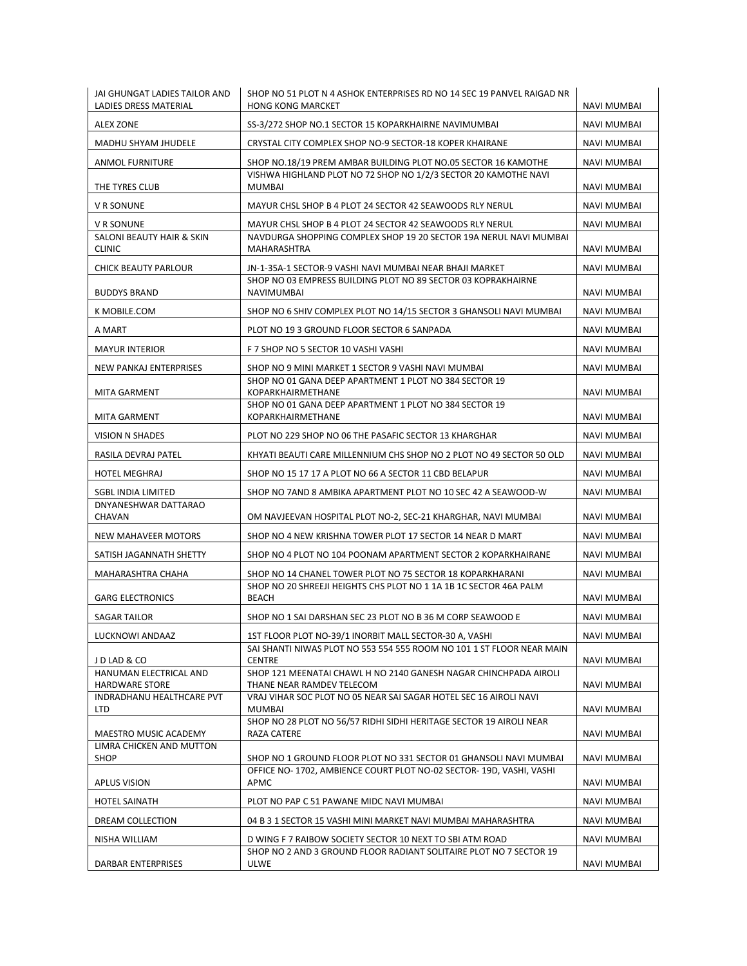| JAI GHUNGAT LADIES TAILOR AND<br>LADIES DRESS MATERIAL | SHOP NO 51 PLOT N 4 ASHOK ENTERPRISES RD NO 14 SEC 19 PANVEL RAIGAD NR<br><b>HONG KONG MARCKET</b>                                      | <b>NAVI MUMBAI</b> |
|--------------------------------------------------------|-----------------------------------------------------------------------------------------------------------------------------------------|--------------------|
| <b>ALEX ZONE</b>                                       | SS-3/272 SHOP NO.1 SECTOR 15 KOPARKHAIRNE NAVIMUMBAI                                                                                    | NAVI MUMBAI        |
| MADHU SHYAM JHUDELE                                    | CRYSTAL CITY COMPLEX SHOP NO-9 SECTOR-18 KOPER KHAIRANE                                                                                 | <b>NAVI MUMBAI</b> |
| ANMOL FURNITURE                                        | SHOP NO.18/19 PREM AMBAR BUILDING PLOT NO.05 SECTOR 16 KAMOTHE                                                                          | NAVI MUMBAI        |
| THE TYRES CLUB                                         | VISHWA HIGHLAND PLOT NO 72 SHOP NO 1/2/3 SECTOR 20 KAMOTHE NAVI<br>MUMBAI                                                               | NAVI MUMBAI        |
| V R SONUNE                                             | MAYUR CHSL SHOP B 4 PLOT 24 SECTOR 42 SEAWOODS RLY NERUL                                                                                | NAVI MUMBAI        |
| V R SONUNE                                             | MAYUR CHSL SHOP B 4 PLOT 24 SECTOR 42 SEAWOODS RLY NERUL                                                                                | <b>NAVI MUMBAI</b> |
| SALONI BEAUTY HAIR & SKIN<br><b>CLINIC</b>             | NAVDURGA SHOPPING COMPLEX SHOP 19 20 SECTOR 19A NERUL NAVI MUMBAI<br>MAHARASHTRA                                                        | NAVI MUMBAI        |
| <b>CHICK BEAUTY PARLOUR</b>                            | JN-1-35A-1 SECTOR-9 VASHI NAVI MUMBAI NEAR BHAJI MARKET                                                                                 | <b>NAVI MUMBAI</b> |
| <b>BUDDYS BRAND</b>                                    | SHOP NO 03 EMPRESS BUILDING PLOT NO 89 SECTOR 03 KOPRAKHAIRNE<br>NAVIMUMBAI                                                             | NAVI MUMBAI        |
| K MOBILE.COM                                           | SHOP NO 6 SHIV COMPLEX PLOT NO 14/15 SECTOR 3 GHANSOLI NAVI MUMBAI                                                                      | NAVI MUMBAI        |
| A MART                                                 | PLOT NO 19 3 GROUND FLOOR SECTOR 6 SANPADA                                                                                              | NAVI MUMBAI        |
| <b>MAYUR INTERIOR</b>                                  | F 7 SHOP NO 5 SECTOR 10 VASHI VASHI                                                                                                     | NAVI MUMBAI        |
| NEW PANKAJ ENTERPRISES                                 | SHOP NO 9 MINI MARKET 1 SECTOR 9 VASHI NAVI MUMBAI                                                                                      | <b>NAVI MUMBAI</b> |
| MITA GARMENT                                           | SHOP NO 01 GANA DEEP APARTMENT 1 PLOT NO 384 SECTOR 19<br>KOPARKHAIRMETHANE                                                             | <b>NAVI MUMBAI</b> |
| MITA GARMENT                                           | SHOP NO 01 GANA DEEP APARTMENT 1 PLOT NO 384 SECTOR 19<br>KOPARKHAIRMETHANE                                                             | NAVI MUMBAI        |
| <b>VISION N SHADES</b>                                 | PLOT NO 229 SHOP NO 06 THE PASAFIC SECTOR 13 KHARGHAR                                                                                   | NAVI MUMBAI        |
| RASILA DEVRAJ PATEL                                    | KHYATI BEAUTI CARE MILLENNIUM CHS SHOP NO 2 PLOT NO 49 SECTOR 50 OLD                                                                    | NAVI MUMBAI        |
| <b>HOTEL MEGHRAJ</b>                                   | SHOP NO 15 17 17 A PLOT NO 66 A SECTOR 11 CBD BELAPUR                                                                                   | NAVI MUMBAI        |
| SGBL INDIA LIMITED                                     | SHOP NO 7AND 8 AMBIKA APARTMENT PLOT NO 10 SEC 42 A SEAWOOD-W                                                                           | NAVI MUMBAI        |
| DNYANESHWAR DATTARAO<br>CHAVAN                         | OM NAVJEEVAN HOSPITAL PLOT NO-2, SEC-21 KHARGHAR, NAVI MUMBAI                                                                           | NAVI MUMBAI        |
| NEW MAHAVEER MOTORS                                    | SHOP NO 4 NEW KRISHNA TOWER PLOT 17 SECTOR 14 NEAR D MART                                                                               | NAVI MUMBAI        |
| SATISH JAGANNATH SHETTY                                | SHOP NO 4 PLOT NO 104 POONAM APARTMENT SECTOR 2 KOPARKHAIRANE                                                                           | NAVI MUMBAI        |
| MAHARASHTRA CHAHA                                      | SHOP NO 14 CHANEL TOWER PLOT NO 75 SECTOR 18 KOPARKHARANI                                                                               | <b>NAVI MUMBAI</b> |
| <b>GARG ELECTRONICS</b>                                | SHOP NO 20 SHREEJI HEIGHTS CHS PLOT NO 1 1A 1B 1C SECTOR 46A PALM<br><b>BEACH</b>                                                       | NAVI MUMBAI        |
| <b>SAGAR TAILOR</b>                                    | SHOP NO 1 SAI DARSHAN SEC 23 PLOT NO B 36 M CORP SEAWOOD E                                                                              | <b>NAVI MUMBAI</b> |
| LUCKNOWI ANDAAZ                                        | 1ST FLOOR PLOT NO-39/1 INORBIT MALL SECTOR-30 A, VASHI                                                                                  | NAVI MUMBAI        |
| J D LAD & CO                                           | SAI SHANTI NIWAS PLOT NO 553 554 555 ROOM NO 101 1 ST FLOOR NEAR MAIN<br><b>CENTRE</b>                                                  | <b>NAVI MUMBAI</b> |
| HANUMAN ELECTRICAL AND<br><b>HARDWARE STORE</b>        | SHOP 121 MEENATAI CHAWL H NO 2140 GANESH NAGAR CHINCHPADA AIROLI<br>THANE NEAR RAMDEV TELECOM                                           | NAVI MUMBAI        |
| INDRADHANU HEALTHCARE PVT                              | VRAJ VIHAR SOC PLOT NO 05 NEAR SAI SAGAR HOTEL SEC 16 AIROLI NAVI                                                                       |                    |
| <b>LTD</b>                                             | MUMBAI                                                                                                                                  | NAVI MUMBAI        |
| MAESTRO MUSIC ACADEMY                                  | SHOP NO 28 PLOT NO 56/57 RIDHI SIDHI HERITAGE SECTOR 19 AIROLI NEAR<br><b>RAZA CATERE</b>                                               | NAVI MUMBAI        |
| LIMRA CHICKEN AND MUTTON                               |                                                                                                                                         |                    |
| SHOP                                                   | SHOP NO 1 GROUND FLOOR PLOT NO 331 SECTOR 01 GHANSOLI NAVI MUMBAI<br>OFFICE NO-1702, AMBIENCE COURT PLOT NO-02 SECTOR-19D, VASHI, VASHI | NAVI MUMBAI        |
| APLUS VISION                                           | APMC                                                                                                                                    | NAVI MUMBAI        |
| <b>HOTEL SAINATH</b>                                   | PLOT NO PAP C 51 PAWANE MIDC NAVI MUMBAI                                                                                                | NAVI MUMBAI        |
| DREAM COLLECTION                                       | 04 B 3 1 SECTOR 15 VASHI MINI MARKET NAVI MUMBAI MAHARASHTRA                                                                            | NAVI MUMBAI        |
| NISHA WILLIAM                                          | D WING F 7 RAIBOW SOCIETY SECTOR 10 NEXT TO SBI ATM ROAD                                                                                | NAVI MUMBAI        |
| DARBAR ENTERPRISES                                     | SHOP NO 2 AND 3 GROUND FLOOR RADIANT SOLITAIRE PLOT NO 7 SECTOR 19<br>ULWE                                                              | NAVI MUMBAI        |
|                                                        |                                                                                                                                         |                    |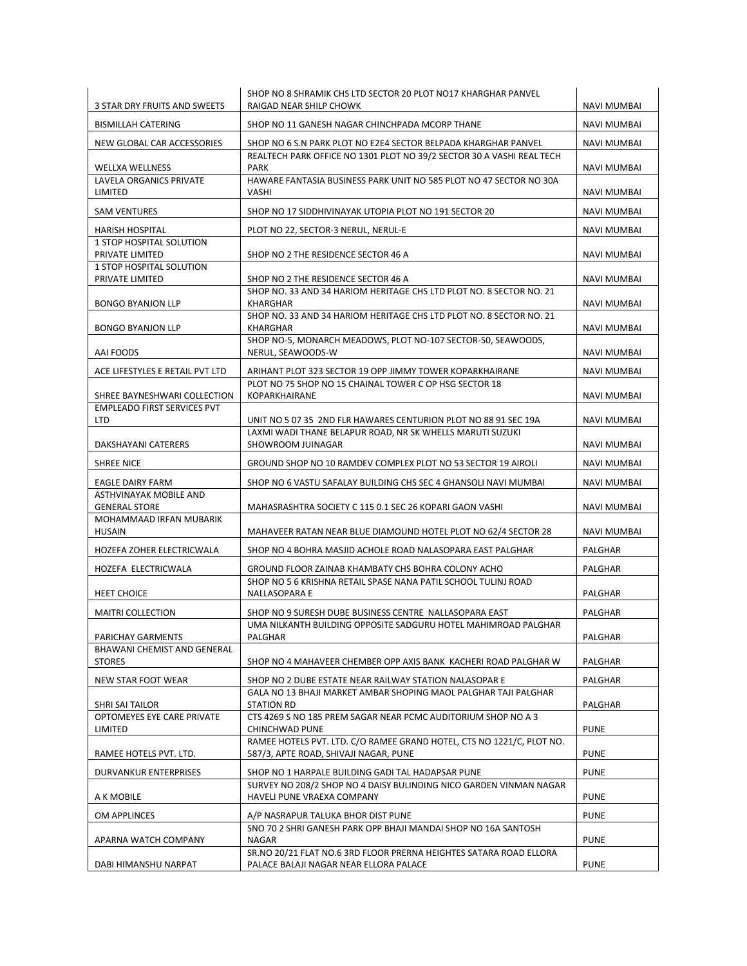| 3 STAR DRY FRUITS AND SWEETS                                       | SHOP NO 8 SHRAMIK CHS LTD SECTOR 20 PLOT NO17 KHARGHAR PANVEL<br>RAIGAD NEAR SHILP CHOWK                                                | NAVI MUMBAI        |
|--------------------------------------------------------------------|-----------------------------------------------------------------------------------------------------------------------------------------|--------------------|
| <b>BISMILLAH CATERING</b>                                          | SHOP NO 11 GANESH NAGAR CHINCHPADA MCORP THANE                                                                                          | <b>NAVI MUMBAI</b> |
|                                                                    |                                                                                                                                         |                    |
| NEW GLOBAL CAR ACCESSORIES                                         | SHOP NO 6 S.N PARK PLOT NO E2E4 SECTOR BELPADA KHARGHAR PANVEL<br>REALTECH PARK OFFICE NO 1301 PLOT NO 39/2 SECTOR 30 A VASHI REAL TECH | <b>NAVI MUMBAI</b> |
| <b>WELLXA WELLNESS</b>                                             | <b>PARK</b>                                                                                                                             | NAVI MUMBAI        |
| LAVELA ORGANICS PRIVATE<br>LIMITED                                 | HAWARE FANTASIA BUSINESS PARK UNIT NO 585 PLOT NO 47 SECTOR NO 30A<br>VASHI                                                             | NAVI MUMBAI        |
| <b>SAM VENTURES</b>                                                | SHOP NO 17 SIDDHIVINAYAK UTOPIA PLOT NO 191 SECTOR 20                                                                                   | NAVI MUMBAI        |
|                                                                    |                                                                                                                                         |                    |
| <b>HARISH HOSPITAL</b><br><b>1 STOP HOSPITAL SOLUTION</b>          | PLOT NO 22, SECTOR-3 NERUL, NERUL-E                                                                                                     | <b>NAVI MUMBAI</b> |
| PRIVATE LIMITED                                                    | SHOP NO 2 THE RESIDENCE SECTOR 46 A                                                                                                     | NAVI MUMBAI        |
| <b>1 STOP HOSPITAL SOLUTION</b><br>PRIVATE LIMITED                 | SHOP NO 2 THE RESIDENCE SECTOR 46 A                                                                                                     | NAVI MUMBAI        |
|                                                                    | SHOP NO. 33 AND 34 HARIOM HERITAGE CHS LTD PLOT NO. 8 SECTOR NO. 21                                                                     |                    |
| <b>BONGO BYANJON LLP</b>                                           | KHARGHAR<br>SHOP NO. 33 AND 34 HARIOM HERITAGE CHS LTD PLOT NO. 8 SECTOR NO. 21                                                         | NAVI MUMBAI        |
| <b>BONGO BYANJON LLP</b>                                           | KHARGHAR                                                                                                                                | NAVI MUMBAI        |
| AAI FOODS                                                          | SHOP NO-5, MONARCH MEADOWS, PLOT NO-107 SECTOR-50, SEAWOODS.<br>NERUL, SEAWOODS-W                                                       | NAVI MUMBAI        |
| ACE LIFESTYLES E RETAIL PVT LTD                                    | ARIHANT PLOT 323 SECTOR 19 OPP JIMMY TOWER KOPARKHAIRANE                                                                                | <b>NAVI MUMBAI</b> |
|                                                                    | PLOT NO 75 SHOP NO 15 CHAINAL TOWER C OP HSG SECTOR 18                                                                                  |                    |
| SHREE BAYNESHWARI COLLECTION<br><b>EMPLEADO FIRST SERVICES PVT</b> | KOPARKHAIRANE                                                                                                                           | NAVI MUMBAI        |
| <b>LTD</b>                                                         | UNIT NO 5 07 35 2ND FLR HAWARES CENTURION PLOT NO 88 91 SEC 19A                                                                         | NAVI MUMBAI        |
| DAKSHAYANI CATERERS                                                | LAXMI WADI THANE BELAPUR ROAD, NR SK WHELLS MARUTI SUZUKI<br>SHOWROOM JUINAGAR                                                          | NAVI MUMBAI        |
| <b>SHREE NICE</b>                                                  | GROUND SHOP NO 10 RAMDEV COMPLEX PLOT NO 53 SECTOR 19 AIROLI                                                                            | NAVI MUMBAI        |
| EAGLE DAIRY FARM                                                   | SHOP NO 6 VASTU SAFALAY BUILDING CHS SEC 4 GHANSOLI NAVI MUMBAI                                                                         | NAVI MUMBAI        |
| ASTHVINAYAK MOBILE AND<br><b>GENERAL STORE</b>                     | MAHASRASHTRA SOCIETY C 115 0.1 SEC 26 KOPARI GAON VASHI                                                                                 | NAVI MUMBAI        |
| MOHAMMAAD IRFAN MUBARIK<br><b>HUSAIN</b>                           | MAHAVEER RATAN NEAR BLUE DIAMOUND HOTEL PLOT NO 62/4 SECTOR 28                                                                          | NAVI MUMBAI        |
| HOZEFA ZOHER ELECTRICWALA                                          | SHOP NO 4 BOHRA MASJID ACHOLE ROAD NALASOPARA EAST PALGHAR                                                                              | PALGHAR            |
| HOZEFA ELECTRICWALA                                                | GROUND FLOOR ZAINAB KHAMBATY CHS BOHRA COLONY ACHO                                                                                      | <b>PALGHAR</b>     |
| <b>HEET CHOICE</b>                                                 | SHOP NO 5 6 KRISHNA RETAIL SPASE NANA PATIL SCHOOL TULINJ ROAD<br>NALLASOPARA E                                                         | PALGHAR            |
|                                                                    |                                                                                                                                         |                    |
| <b>MAITRI COLLECTION</b>                                           | SHOP NO 9 SURESH DUBE BUSINESS CENTRE NALLASOPARA EAST<br>UMA NILKANTH BUILDING OPPOSITE SADGURU HOTEL MAHIMROAD PALGHAR                | PALGHAR            |
| PARICHAY GARMENTS                                                  | PALGHAR                                                                                                                                 | PALGHAR            |
| BHAWANI CHEMIST AND GENERAL<br><b>STORES</b>                       | SHOP NO 4 MAHAVEER CHEMBER OPP AXIS BANK KACHERI ROAD PALGHAR W                                                                         | PALGHAR            |
| NEW STAR FOOT WEAR                                                 | SHOP NO 2 DUBE ESTATE NEAR RAILWAY STATION NALASOPAR E                                                                                  | PALGHAR            |
| SHRI SAI TAILOR                                                    | GALA NO 13 BHAJI MARKET AMBAR SHOPING MAOL PALGHAR TAJI PALGHAR<br><b>STATION RD</b>                                                    | PALGHAR            |
| OPTOMEYES EYE CARE PRIVATE                                         | CTS 4269 S NO 185 PREM SAGAR NEAR PCMC AUDITORIUM SHOP NO A 3                                                                           |                    |
| LIMITED                                                            | CHINCHWAD PUNE<br>RAMEE HOTELS PVT. LTD. C/O RAMEE GRAND HOTEL, CTS NO 1221/C, PLOT NO.                                                 | <b>PUNE</b>        |
| RAMEE HOTELS PVT. LTD.                                             | 587/3, APTE ROAD, SHIVAJI NAGAR, PUNE                                                                                                   | <b>PUNE</b>        |
| DURVANKUR ENTERPRISES                                              | SHOP NO 1 HARPALE BUILDING GADI TAL HADAPSAR PUNE                                                                                       | <b>PUNE</b>        |
| A K MOBILE                                                         | SURVEY NO 208/2 SHOP NO 4 DAISY BULINDING NICO GARDEN VINMAN NAGAR<br>HAVELI PUNE VRAEXA COMPANY                                        | <b>PUNE</b>        |
| OM APPLINCES                                                       | A/P NASRAPUR TALUKA BHOR DIST PUNE                                                                                                      | <b>PUNE</b>        |
| APARNA WATCH COMPANY                                               | SNO 70 2 SHRI GANESH PARK OPP BHAJI MANDAI SHOP NO 16A SANTOSH<br>NAGAR                                                                 | <b>PUNE</b>        |
|                                                                    | SR.NO 20/21 FLAT NO.6 3RD FLOOR PRERNA HEIGHTES SATARA ROAD ELLORA                                                                      |                    |
| DABI HIMANSHU NARPAT                                               | PALACE BALAJI NAGAR NEAR ELLORA PALACE                                                                                                  | <b>PUNE</b>        |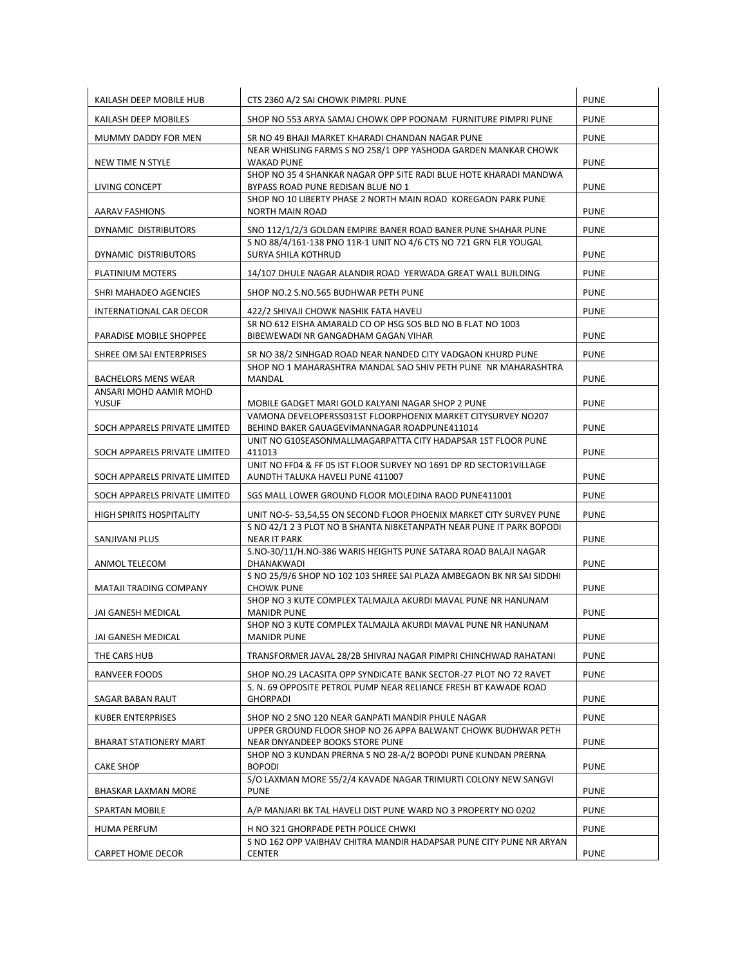| KAILASH DEEP MOBILE HUB         | CTS 2360 A/2 SAI CHOWK PIMPRI. PUNE                                                                               | <b>PUNE</b> |
|---------------------------------|-------------------------------------------------------------------------------------------------------------------|-------------|
| KAILASH DEEP MOBILES            | SHOP NO 553 ARYA SAMAJ CHOWK OPP POONAM FURNITURE PIMPRI PUNE                                                     | <b>PUNE</b> |
| MUMMY DADDY FOR MEN             | SR NO 49 BHAJI MARKET KHARADI CHANDAN NAGAR PUNE                                                                  | <b>PUNE</b> |
| NEW TIME N STYLE                | NEAR WHISLING FARMS S NO 258/1 OPP YASHODA GARDEN MANKAR CHOWK<br><b>WAKAD PUNE</b>                               | <b>PUNE</b> |
| LIVING CONCEPT                  | SHOP NO 35 4 SHANKAR NAGAR OPP SITE RADI BLUE HOTE KHARADI MANDWA<br>BYPASS ROAD PUNE REDISAN BLUE NO 1           | <b>PUNE</b> |
| AARAV FASHIONS                  | SHOP NO 10 LIBERTY PHASE 2 NORTH MAIN ROAD KOREGAON PARK PUNE<br><b>NORTH MAIN ROAD</b>                           | <b>PUNE</b> |
| DYNAMIC DISTRIBUTORS            | SNO 112/1/2/3 GOLDAN EMPIRE BANER ROAD BANER PUNE SHAHAR PUNE                                                     | <b>PUNE</b> |
| DYNAMIC DISTRIBUTORS            | S NO 88/4/161-138 PNO 11R-1 UNIT NO 4/6 CTS NO 721 GRN FLR YOUGAL<br><b>SURYA SHILA KOTHRUD</b>                   | <b>PUNE</b> |
| PLATINIUM MOTERS                | 14/107 DHULE NAGAR ALANDIR ROAD YERWADA GREAT WALL BUILDING                                                       | <b>PUNE</b> |
| SHRI MAHADEO AGENCIES           | SHOP NO.2 S.NO.565 BUDHWAR PETH PUNE                                                                              | <b>PUNE</b> |
| INTERNATIONAL CAR DECOR         | 422/2 SHIVAJI CHOWK NASHIK FATA HAVELI                                                                            | <b>PUNE</b> |
| PARADISE MOBILE SHOPPEE         | SR NO 612 EISHA AMARALD CO OP HSG SOS BLD NO B FLAT NO 1003<br>BIBEWEWADI NR GANGADHAM GAGAN VIHAR                | <b>PUNE</b> |
| SHREE OM SAI ENTERPRISES        | SR NO 38/2 SINHGAD ROAD NEAR NANDED CITY VADGAON KHURD PUNE                                                       | <b>PUNE</b> |
| <b>BACHELORS MENS WEAR</b>      | SHOP NO 1 MAHARASHTRA MANDAL SAO SHIV PETH PUNE NR MAHARASHTRA<br><b>MANDAL</b>                                   | <b>PUNE</b> |
| ANSARI MOHD AAMIR MOHD          |                                                                                                                   |             |
| <b>YUSUF</b>                    | MOBILE GADGET MARI GOLD KALYANI NAGAR SHOP 2 PUNE<br>VAMONA DEVELOPERSS031ST FLOORPHOENIX MARKET CITYSURVEY NO207 | <b>PUNE</b> |
| SOCH APPARELS PRIVATE LIMITED   | BEHIND BAKER GAUAGEVIMANNAGAR ROADPUNE411014                                                                      | <b>PUNE</b> |
| SOCH APPARELS PRIVATE LIMITED   | UNIT NO G10SEASONMALLMAGARPATTA CITY HADAPSAR 1ST FLOOR PUNE<br>411013                                            | <b>PUNE</b> |
| SOCH APPARELS PRIVATE LIMITED   | UNIT NO FF04 & FF 05 IST FLOOR SURVEY NO 1691 DP RD SECTOR1VILLAGE<br>AUNDTH TALUKA HAVELI PUNE 411007            | <b>PUNE</b> |
| SOCH APPARELS PRIVATE LIMITED   | SGS MALL LOWER GROUND FLOOR MOLEDINA RAOD PUNE411001                                                              | <b>PUNE</b> |
| <b>HIGH SPIRITS HOSPITALITY</b> | UNIT NO-S- 53,54,55 ON SECOND FLOOR PHOENIX MARKET CITY SURVEY PUNE                                               | <b>PUNE</b> |
| SANJIVANI PLUS                  | S NO 42/1 2 3 PLOT NO B SHANTA NI8KETANPATH NEAR PUNE IT PARK BOPODI<br><b>NEAR IT PARK</b>                       | <b>PUNE</b> |
| ANMOL TELECOM                   | S.NO-30/11/H.NO-386 WARIS HEIGHTS PUNE SATARA ROAD BALAJI NAGAR<br>DHANAKWADI                                     | <b>PUNE</b> |
| <b>MATAJI TRADING COMPANY</b>   | S NO 25/9/6 SHOP NO 102 103 SHREE SAI PLAZA AMBEGAON BK NR SAI SIDDHI<br><b>CHOWK PUNE</b>                        | <b>PUNE</b> |
| JAI GANESH MEDICAL              | SHOP NO 3 KUTE COMPLEX TALMAJLA AKURDI MAVAL PUNE NR HANUNAM<br><b>MANIDR PUNE</b>                                | <b>PUNE</b> |
|                                 | SHOP NO 3 KUTE COMPLEX TALMAJLA AKURDI MAVAL PUNE NR HANUNAM                                                      |             |
| JAI GANESH MEDICAL              | <b>MANIDR PUNE</b>                                                                                                | <b>PUNE</b> |
| THE CARS HUB                    | TRANSFORMER JAVAL 28/2B SHIVRAJ NAGAR PIMPRI CHINCHWAD RAHATANI                                                   | <b>PUNE</b> |
| RANVEER FOODS                   | SHOP NO.29 LACASITA OPP SYNDICATE BANK SECTOR-27 PLOT NO 72 RAVET                                                 | <b>PUNE</b> |
| SAGAR BABAN RAUT                | S. N. 69 OPPOSITE PETROL PUMP NEAR RELIANCE FRESH BT KAWADE ROAD<br><b>GHORPADI</b>                               | <b>PUNE</b> |
| <b>KUBER ENTERPRISES</b>        | SHOP NO 2 SNO 120 NEAR GANPATI MANDIR PHULE NAGAR                                                                 | <b>PUNE</b> |
| BHARAT STATIONERY MART          | UPPER GROUND FLOOR SHOP NO 26 APPA BALWANT CHOWK BUDHWAR PETH<br>NEAR DNYANDEEP BOOKS STORE PUNE                  | <b>PUNE</b> |
| <b>CAKE SHOP</b>                | SHOP NO 3 KUNDAN PRERNA S NO 28-A/2 BOPODI PUNE KUNDAN PRERNA<br><b>BOPODI</b>                                    | <b>PUNE</b> |
| BHASKAR LAXMAN MORE             | S/O LAXMAN MORE 55/2/4 KAVADE NAGAR TRIMURTI COLONY NEW SANGVI<br><b>PUNE</b>                                     | <b>PUNE</b> |
| SPARTAN MOBILE                  | A/P MANJARI BK TAL HAVELI DIST PUNE WARD NO 3 PROPERTY NO 0202                                                    | <b>PUNE</b> |
| <b>HUMA PERFUM</b>              | H NO 321 GHORPADE PETH POLICE CHWKI                                                                               | <b>PUNE</b> |
| CARPET HOME DECOR               | S NO 162 OPP VAIBHAV CHITRA MANDIR HADAPSAR PUNE CITY PUNE NR ARYAN<br><b>CENTER</b>                              | <b>PUNE</b> |